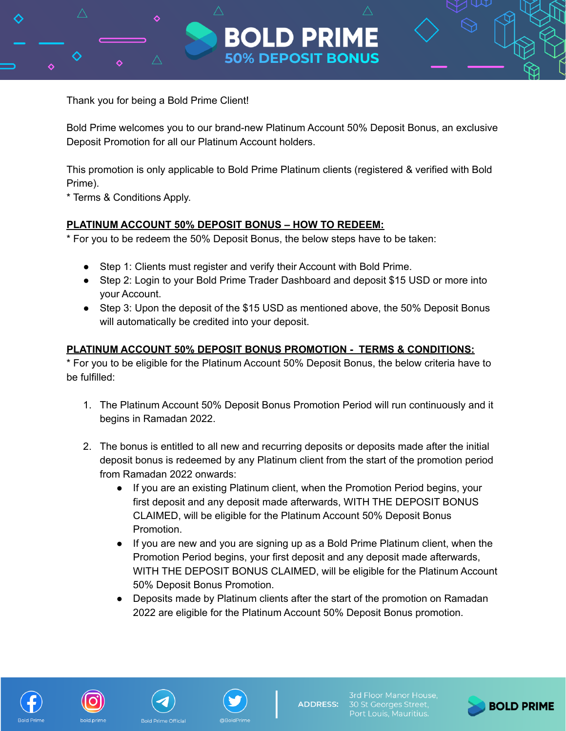

Bold Prime welcomes you to our brand-new Platinum Account 50% Deposit Bonus, an exclusive Deposit Promotion for all our Platinum Account holders.

**BOLD PRIM** 

**50% DEPOSIT BONUS** 

This promotion is only applicable to Bold Prime Platinum clients (registered & verified with Bold Prime).

\* Terms & Conditions Apply.

## **PLATINUM ACCOUNT 50% DEPOSIT BONUS – HOW TO REDEEM:**

\* For you to be redeem the 50% Deposit Bonus, the below steps have to be taken:

- Step 1: Clients must register and verify their Account with Bold Prime.
- Step 2: Login to your Bold Prime Trader Dashboard and deposit \$15 USD or more into your Account.
- Step 3: Upon the deposit of the \$15 USD as mentioned above, the 50% Deposit Bonus will automatically be credited into your deposit.

## **PLATINUM ACCOUNT 50% DEPOSIT BONUS PROMOTION - TERMS & CONDITIONS:**

\* For you to be eligible for the Platinum Account 50% Deposit Bonus, the below criteria have to be fulfilled:

- 1. The Platinum Account 50% Deposit Bonus Promotion Period will run continuously and it begins in Ramadan 2022.
- 2. The bonus is entitled to all new and recurring deposits or deposits made after the initial deposit bonus is redeemed by any Platinum client from the start of the promotion period from Ramadan 2022 onwards:
	- If you are an existing Platinum client, when the Promotion Period begins, your first deposit and any deposit made afterwards, WITH THE DEPOSIT BONUS CLAIMED, will be eligible for the Platinum Account 50% Deposit Bonus Promotion.
	- If you are new and you are signing up as a Bold Prime Platinum client, when the Promotion Period begins, your first deposit and any deposit made afterwards, WITH THE DEPOSIT BONUS CLAIMED, will be eligible for the Platinum Account 50% Deposit Bonus Promotion.
	- Deposits made by Platinum clients after the start of the promotion on Ramadan 2022 are eligible for the Platinum Account 50% Deposit Bonus promotion.







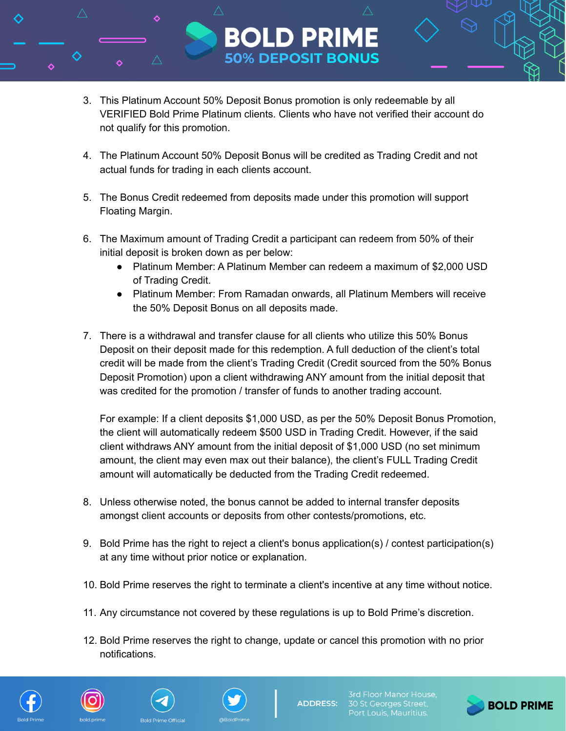3. This Platinum Account 50% Deposit Bonus promotion is only redeemable by all VERIFIED Bold Prime Platinum clients. Clients who have not verified their account do not qualify for this promotion.

**BOLD PRIM** 

**50% DEPOSIT BONUS** 

- 4. The Platinum Account 50% Deposit Bonus will be credited as Trading Credit and not actual funds for trading in each clients account.
- 5. The Bonus Credit redeemed from deposits made under this promotion will support Floating Margin.
- 6. The Maximum amount of Trading Credit a participant can redeem from 50% of their initial deposit is broken down as per below:
	- Platinum Member: A Platinum Member can redeem a maximum of \$2,000 USD of Trading Credit.
	- Platinum Member: From Ramadan onwards, all Platinum Members will receive the 50% Deposit Bonus on all deposits made.
- 7. There is a withdrawal and transfer clause for all clients who utilize this 50% Bonus Deposit on their deposit made for this redemption. A full deduction of the client's total credit will be made from the client's Trading Credit (Credit sourced from the 50% Bonus Deposit Promotion) upon a client withdrawing ANY amount from the initial deposit that was credited for the promotion / transfer of funds to another trading account.

For example: If a client deposits \$1,000 USD, as per the 50% Deposit Bonus Promotion, the client will automatically redeem \$500 USD in Trading Credit. However, if the said client withdraws ANY amount from the initial deposit of \$1,000 USD (no set minimum amount, the client may even max out their balance), the client's FULL Trading Credit amount will automatically be deducted from the Trading Credit redeemed.

- 8. Unless otherwise noted, the bonus cannot be added to internal transfer deposits amongst client accounts or deposits from other contests/promotions, etc.
- 9. Bold Prime has the right to reject a client's bonus application(s) / contest participation(s) at any time without prior notice or explanation.
- 10. Bold Prime reserves the right to terminate a client's incentive at any time without notice.
- 11. Any circumstance not covered by these regulations is up to Bold Prime's discretion.
- 12. Bold Prime reserves the right to change, update or cancel this promotion with no prior notifications.